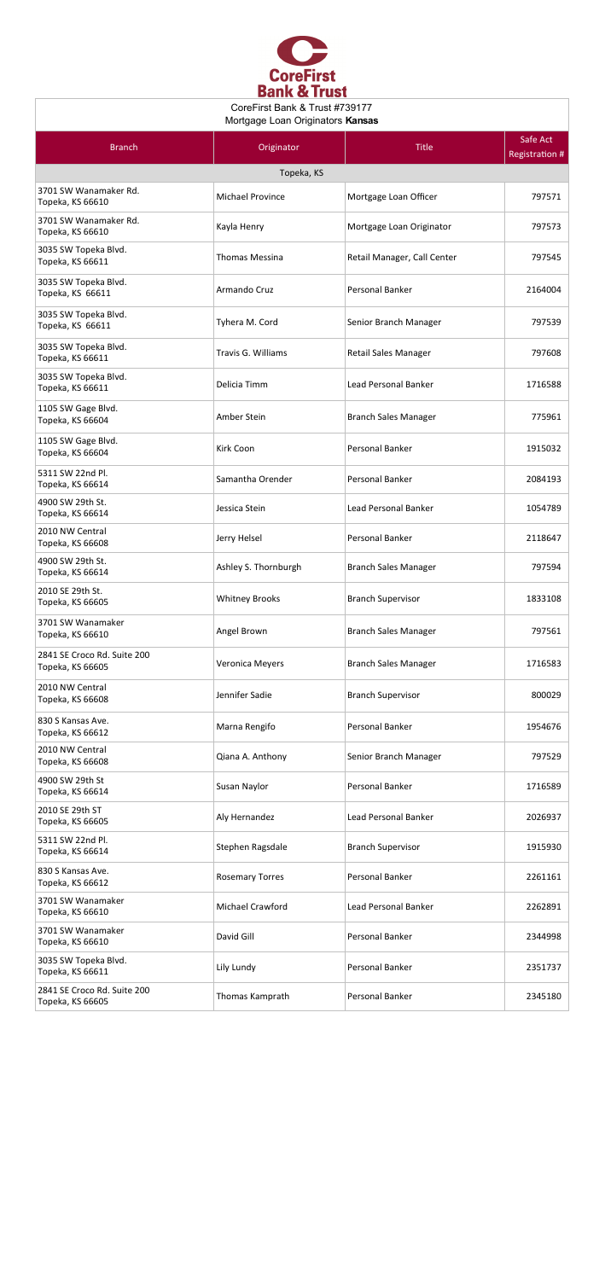

## CoreFirst Bank & Trust #739177 Mortgage Loan Originators **Kansas**

| <b>Branch</b>                                   | Originator             | <b>Title</b>                | Safe Act<br><b>Registration #</b> |  |
|-------------------------------------------------|------------------------|-----------------------------|-----------------------------------|--|
| Topeka, KS                                      |                        |                             |                                   |  |
| 3701 SW Wanamaker Rd.<br>Topeka, KS 66610       | Michael Province       | Mortgage Loan Officer       | 797571                            |  |
| 3701 SW Wanamaker Rd.<br>Topeka, KS 66610       | Kayla Henry            | Mortgage Loan Originator    | 797573                            |  |
| 3035 SW Topeka Blvd.<br>Topeka, KS 66611        | <b>Thomas Messina</b>  | Retail Manager, Call Center | 797545                            |  |
| 3035 SW Topeka Blvd.<br>Topeka, KS 66611        | Armando Cruz           | Personal Banker             | 2164004                           |  |
| 3035 SW Topeka Blvd.<br>Topeka, KS 66611        | Tyhera M. Cord         | Senior Branch Manager       | 797539                            |  |
| 3035 SW Topeka Blvd.<br>Topeka, KS 66611        | Travis G. Williams     | Retail Sales Manager        | 797608                            |  |
| 3035 SW Topeka Blvd.<br>Topeka, KS 66611        | Delicia Timm           | Lead Personal Banker        | 1716588                           |  |
| 1105 SW Gage Blvd.<br>Topeka, KS 66604          | Amber Stein            | <b>Branch Sales Manager</b> | 775961                            |  |
| 1105 SW Gage Blvd.<br>Topeka, KS 66604          | Kirk Coon              | Personal Banker             | 1915032                           |  |
| 5311 SW 22nd Pl.<br>Topeka, KS 66614            | Samantha Orender       | Personal Banker             | 2084193                           |  |
| 4900 SW 29th St.<br>Topeka, KS 66614            | Jessica Stein          | Lead Personal Banker        | 1054789                           |  |
| 2010 NW Central<br>Topeka, KS 66608             | Jerry Helsel           | Personal Banker             | 2118647                           |  |
| 4900 SW 29th St.<br>Topeka, KS 66614            | Ashley S. Thornburgh   | <b>Branch Sales Manager</b> | 797594                            |  |
| 2010 SE 29th St.<br>Topeka, KS 66605            | <b>Whitney Brooks</b>  | <b>Branch Supervisor</b>    | 1833108                           |  |
| 3701 SW Wanamaker<br>Topeka, KS 66610           | Angel Brown            | <b>Branch Sales Manager</b> | 797561                            |  |
| 2841 SE Croco Rd. Suite 200<br>Topeka, KS 66605 | Veronica Meyers        | <b>Branch Sales Manager</b> | 1716583                           |  |
| 2010 NW Central<br>Topeka, KS 66608             | Jennifer Sadie         | <b>Branch Supervisor</b>    | 800029                            |  |
| 830 S Kansas Ave.<br>Topeka, KS 66612           | Marna Rengifo          | Personal Banker             | 1954676                           |  |
| 2010 NW Central<br>Topeka, KS 66608             | Qiana A. Anthony       | Senior Branch Manager       | 797529                            |  |
| 4900 SW 29th St<br>Topeka, KS 66614             | Susan Naylor           | Personal Banker             | 1716589                           |  |
| 2010 SE 29th ST<br>Topeka, KS 66605             | Aly Hernandez          | <b>Lead Personal Banker</b> | 2026937                           |  |
| 5311 SW 22nd Pl.<br>Topeka, KS 66614            | Stephen Ragsdale       | <b>Branch Supervisor</b>    | 1915930                           |  |
| 830 S Kansas Ave.<br>Topeka, KS 66612           | <b>Rosemary Torres</b> | Personal Banker             | 2261161                           |  |
| 3701 SW Wanamaker<br>Topeka, KS 66610           | Michael Crawford       | <b>Lead Personal Banker</b> | 2262891                           |  |
| 3701 SW Wanamaker<br>Topeka, KS 66610           | David Gill             | Personal Banker             | 2344998                           |  |
| 3035 SW Topeka Blvd.<br>Topeka, KS 66611        | Lily Lundy             | Personal Banker             | 2351737                           |  |
| 2841 SE Croco Rd. Suite 200<br>Topeka, KS 66605 | Thomas Kamprath        | Personal Banker             | 2345180                           |  |